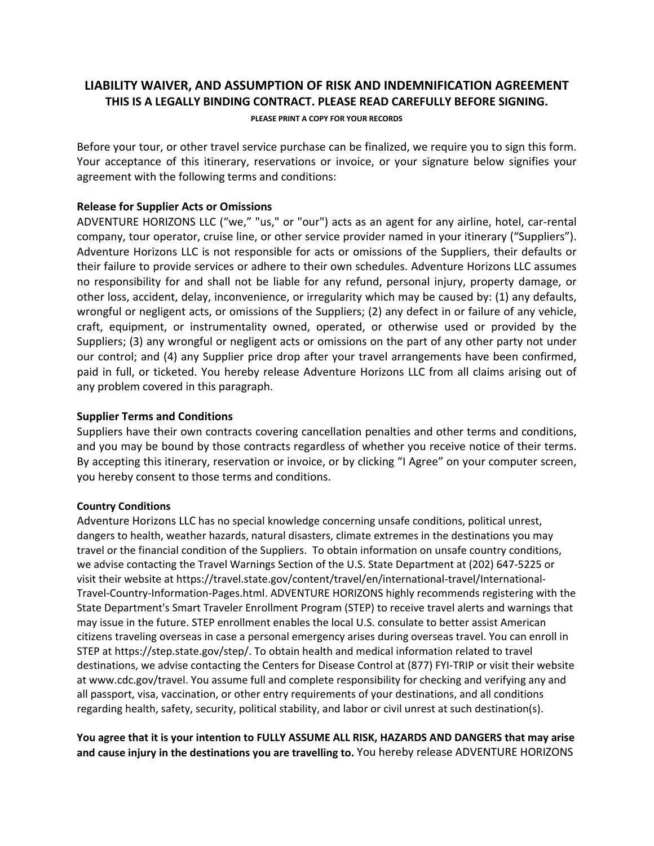# **LIABILITY WAIVER, AND ASSUMPTION OF RISK AND INDEMNIFICATION AGREEMENT THIS IS A LEGALLY BINDING CONTRACT. PLEASE READ CAREFULLY BEFORE SIGNING.**

#### **PLEASE PRINT A COPY FOR YOUR RECORDS**

Before your tour, or other travel service purchase can be finalized, we require you to sign this form. Your acceptance of this itinerary, reservations or invoice, or your signature below signifies your agreement with the following terms and conditions:

#### **Release for Supplier Acts or Omissions**

ADVENTURE HORIZONS LLC ("we," "us," or "our") acts as an agent for any airline, hotel, car-rental company, tour operator, cruise line, or other service provider named in your itinerary ("Suppliers"). Adventure Horizons LLC is not responsible for acts or omissions of the Suppliers, their defaults or their failure to provide services or adhere to their own schedules. Adventure Horizons LLC assumes no responsibility for and shall not be liable for any refund, personal injury, property damage, or other loss, accident, delay, inconvenience, or irregularity which may be caused by: (1) any defaults, wrongful or negligent acts, or omissions of the Suppliers; (2) any defect in or failure of any vehicle, craft, equipment, or instrumentality owned, operated, or otherwise used or provided by the Suppliers; (3) any wrongful or negligent acts or omissions on the part of any other party not under our control; and (4) any Supplier price drop after your travel arrangements have been confirmed, paid in full, or ticketed. You hereby release Adventure Horizons LLC from all claims arising out of any problem covered in this paragraph.

### **Supplier Terms and Conditions**

Suppliers have their own contracts covering cancellation penalties and other terms and conditions, and you may be bound by those contracts regardless of whether you receive notice of their terms. By accepting this itinerary, reservation or invoice, or by clicking "I Agree" on your computer screen, you hereby consent to those terms and conditions.

#### **Country Conditions**

Adventure Horizons LLC has no special knowledge concerning unsafe conditions, political unrest, dangers to health, weather hazards, natural disasters, climate extremes in the destinations you may travel or the financial condition of the Suppliers. To obtain information on unsafe country conditions, we advise contacting the Travel Warnings Section of the U.S. State Department at (202) 647-5225 or visit their website at https://travel.state.gov/content/travel/en/international-travel/International-Travel-Country-Information-Pages.html. ADVENTURE HORIZONS highly recommends registering with the State Department's Smart Traveler Enrollment Program (STEP) to receive travel alerts and warnings that may issue in the future. STEP enrollment enables the local U.S. consulate to better assist American citizens traveling overseas in case a personal emergency arises during overseas travel. You can enroll in STEP at https://step.state.gov/step/. To obtain health and medical information related to travel destinations, we advise contacting the Centers for Disease Control at (877) FYI-TRIP or visit their website at www.cdc.gov/travel. You assume full and complete responsibility for checking and verifying any and all passport, visa, vaccination, or other entry requirements of your destinations, and all conditions regarding health, safety, security, political stability, and labor or civil unrest at such destination(s).

**You agree that it is your intention to FULLY ASSUME ALL RISK, HAZARDS AND DANGERS that may arise and cause injury in the destinations you are travelling to.** You hereby release ADVENTURE HORIZONS